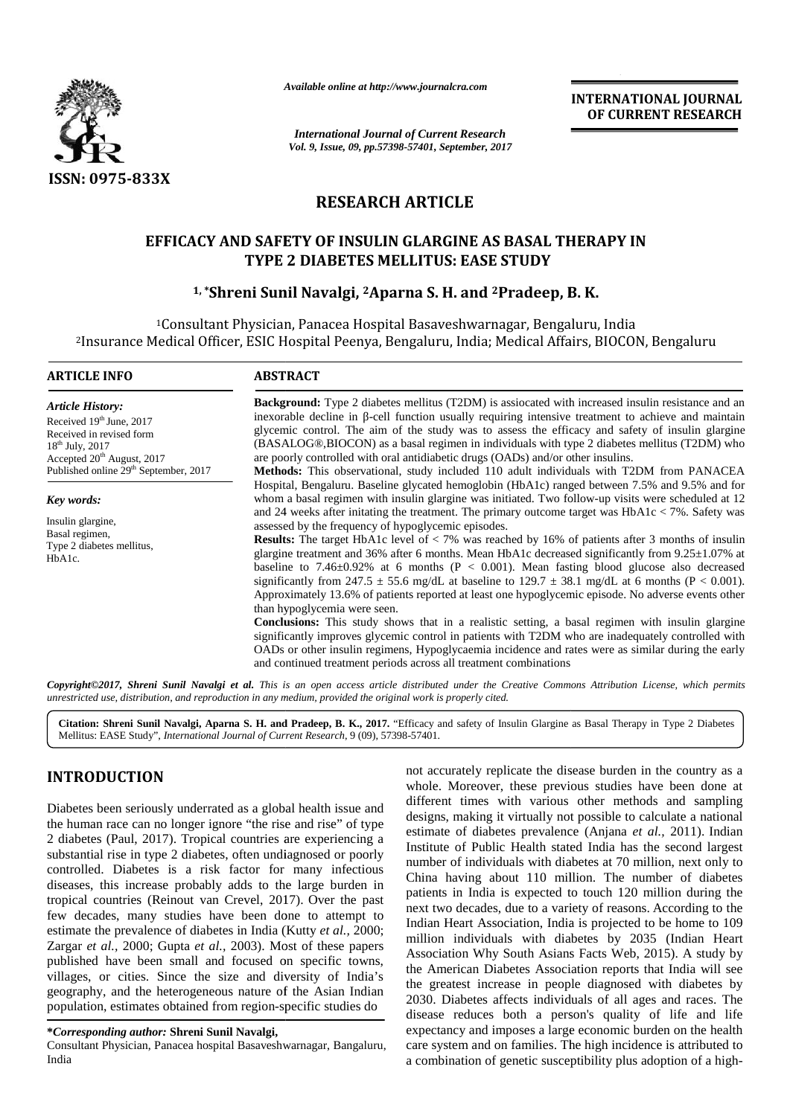

*Available online at http://www.journalcra.com*

*International Journal of Current Research Vol. 9, Issue, 09, pp.57398-57401, September, 2017*<br> *Vol. 9, Issue, 09, pp.57398-57401, September, 2017* 

**INTERNATIONAL JOURNAL OF CURRENT RESEARCH**

# **RESEARCH ARTICLE**

# **EFFICACY AND SAFETY OF INSULIN GLARGINE AS BASAL THERAPY IN** D SAFETY OF INSULIN GLARGINE AS BASAL THERAP!<br>TYPE 2 DIABETES MELLITUS: EASE STUDY

# **1, \*Shreni Sunil Navalgi, <sup>2</sup>Aparna S. H. and <sup>2</sup>Pradeep, B. K. 1, 2 <sup>2</sup>Pradeep, B. K.**

<sup>1</sup>Consultant Physician, Panacea Hospital Basaveshwarnagar, Bengaluru, India <sup>2</sup>Insurance Medical Officer, ESIC Hospital Peenya, Bengaluru, India; Medical Affairs, BIOCON, Bengaluru ESIC

| <b>ARTICLE INFO</b>                                                                                                                                                                                             | <b>ABSTRACT</b>                                                                                                                                                                                                                                                                                                                                                                                                                                                                                                                                                                                     |                                                                                                                                                                                                                                                                                                                                                                                                                                                                                                                                                                                                                                                                                                                                                                                                                                                                                                                                                                                                                                                                                                                                                                                         |  |  |  |
|-----------------------------------------------------------------------------------------------------------------------------------------------------------------------------------------------------------------|-----------------------------------------------------------------------------------------------------------------------------------------------------------------------------------------------------------------------------------------------------------------------------------------------------------------------------------------------------------------------------------------------------------------------------------------------------------------------------------------------------------------------------------------------------------------------------------------------------|-----------------------------------------------------------------------------------------------------------------------------------------------------------------------------------------------------------------------------------------------------------------------------------------------------------------------------------------------------------------------------------------------------------------------------------------------------------------------------------------------------------------------------------------------------------------------------------------------------------------------------------------------------------------------------------------------------------------------------------------------------------------------------------------------------------------------------------------------------------------------------------------------------------------------------------------------------------------------------------------------------------------------------------------------------------------------------------------------------------------------------------------------------------------------------------------|--|--|--|
| <b>Article History:</b><br>Received $19th$ June, 2017<br>Received in revised form<br>18 <sup>th</sup> July, 2017<br>Accepted 20 <sup>th</sup> August, 2017<br>Published online 29 <sup>th</sup> September, 2017 | <b>Background:</b> Type 2 diabetes mellitus (T2DM) is assiocated with increased insulin resistance and an<br>inexorable decline in -cell function usually requiring intensive treatment to achieve and maintain<br>glycemic control. The aim of the study was to assess the efficacy and safety of insulin glargine<br>(BASALOG®,BIOCON) as a basal regimen in individuals with type 2 diabetes mellitus (T2DM) who<br>are poorly controlled with oral antidiabetic drugs (OADs) and/or other insulins.<br>Methods: This observational, study included 110 adult individuals with T2DM from PANACEA |                                                                                                                                                                                                                                                                                                                                                                                                                                                                                                                                                                                                                                                                                                                                                                                                                                                                                                                                                                                                                                                                                                                                                                                         |  |  |  |
| Key words:<br>Insulin glargine,<br>Basal regimen,<br>Type 2 diabetes mellitus,<br>HbA1c.                                                                                                                        | assessed by the frequency of hypoglycemic episodes.<br>than hypoglycemia were seen.<br>and continued treatment periods across all treatment combinations                                                                                                                                                                                                                                                                                                                                                                                                                                            | Hospital, Bengaluru. Baseline glycated hemoglobin (HbA1c) ranged between 7.5% and 9.5% and for<br>whom a basal regimen with insulin glargine was initiated. Two follow-up visits were scheduled at 12<br>and 24 weeks after initiating the treatment. The primary outcome target was $HbA1c < 7\%$ . Safety was<br><b>Results:</b> The target HbA1c level of $\lt 7\%$ was reached by 16% of patients after 3 months of insulin<br>glargine treatment and 36% after 6 months. Mean HbA1c decreased significantly from $9.25 \pm 1.07$ % at<br>baseline to 7.46 $\pm$ 0.92% at 6 months (P < 0.001). Mean fasting blood glucose also decreased<br>significantly from 247.5 $\pm$ 55.6 mg/dL at baseline to 129.7 $\pm$ 38.1 mg/dL at 6 months (P < 0.001).<br>Approximately 13.6% of patients reported at least one hypoglycemic episode. No adverse events other<br><b>Conclusions:</b> This study shows that in a realistic setting, a basal regimen with insulin glargine<br>significantly improves glycemic control in patients with T2DM who are inadequately controlled with<br>OADs or other insulin regimens, Hypoglycaemia incidence and rates were as similar during the early |  |  |  |
| unrestricted use, distribution, and reproduction in any medium, provided the original work is properly cited.                                                                                                   |                                                                                                                                                                                                                                                                                                                                                                                                                                                                                                                                                                                                     | Copyright©2017, Shreni Sunil Navalgi et al. This is an open access article distributed under the Creative Commons Attribution License, which permits                                                                                                                                                                                                                                                                                                                                                                                                                                                                                                                                                                                                                                                                                                                                                                                                                                                                                                                                                                                                                                    |  |  |  |
| Mellitus: EASE Study", International Journal of Current Research, 9 (09), 57398-57401.                                                                                                                          |                                                                                                                                                                                                                                                                                                                                                                                                                                                                                                                                                                                                     | Citation: Shreni Sunil Navalgi, Aparna S. H. and Pradeep, B. K., 2017. "Efficacy and safety of Insulin Glargine as Basal Therapy in Type 2 Diabetes                                                                                                                                                                                                                                                                                                                                                                                                                                                                                                                                                                                                                                                                                                                                                                                                                                                                                                                                                                                                                                     |  |  |  |
| <b>INTRODUCTION</b>                                                                                                                                                                                             |                                                                                                                                                                                                                                                                                                                                                                                                                                                                                                                                                                                                     | not accurately replicate the disease burden in the country as a<br>whole. Moreover, these previous studies have been done at                                                                                                                                                                                                                                                                                                                                                                                                                                                                                                                                                                                                                                                                                                                                                                                                                                                                                                                                                                                                                                                            |  |  |  |
| Diabetes been seriously underrated as a global health issue and<br>the human roos can no longer ignore "the rice and rice" of type                                                                              |                                                                                                                                                                                                                                                                                                                                                                                                                                                                                                                                                                                                     | different times with various other methods and sampling<br>designs, making it virtually not possible to calculate a national                                                                                                                                                                                                                                                                                                                                                                                                                                                                                                                                                                                                                                                                                                                                                                                                                                                                                                                                                                                                                                                            |  |  |  |

## **INTRODUCTION INTRODUCTION**

Diabetes been seriously underrated as a global health issue and  $\frac{u_{\text{max}}}{\sqrt{2}}$ the human race can no longer ignore "the rise and rise" of type 2 diabetes (Paul, 2017). Tropical countries are experiencing a  $\frac{1}{2}$ substantial rise in type 2 diabetes, often undiagnosed or poorly controlled. Diabetes is a risk factor for many infectious  $\alpha$ diseases, this increase probably adds to the large burden in tropical countries (Reinout van Crevel, 2017). Over the past few decades, many studies have been done to attempt to estimate the prevalence of diabetes in India (Kutty *et al.,* 2000; few decades, many studies have been done to attempt to<br>estimate the prevalence of diabetes in India (Kutty *et al.*, 2000;<br>Zargar *et al.*, 2000; Gupta *et al.*, 2003). Most of these papers published have been small and focused on specific towns, published villages, or cities. Since the size and diversity of India's  $\frac{d\mathbf{r}}{d\mathbf{r}}$ geography, and the heterogeneous nature of the Asian Indian geography, and the heterogeneous nature of the Asian Indian population, estimates obtained from region-specific studies do substantial rise in type 2 diabetes, often undiagnosed or poorly<br>controlled. Diabetes is a risk factor for many infectious<br>diseases, this increase probably adds to the large burden in<br>tropical countries (Reinout van Crevel

Consultant Physician, Panacea hospital Basaveshwarnagar, Bangaluru, India

not accurately replicate the disease burden in the country as a whole. Moreover, these previous studies have been done at different times with various other methods and sampling designs, making it virtually not possible to calculate a national estimate of diabetes prevalence (Anjana *et al.,* 2011). Indian Institute of Public Health stated India has the second largest number of individuals with diabetes at 70 million, next only to China having about 110 million. The number of diabetes patients in India is expected to touch 120 million during the next two decades, due to a variety of reasons. According to the Indian Heart Association, India is projected to be home to 109 million individuals with diabetes by 2035 (Indian Heart Association Why South Asians Facts Web, 2015). A study by the American Diabetes Association reports that India will see the greatest increase in people diagnosed with diabetes by 2030. Diabetes affects individuals of all ages and races. The disease reduces both a person's quality of life and life expectancy and imposes a large economic burden on the health care system and on families. The high incidence is attributed to a combination of genetic susceptibility plus adoption of a high-**INTRODUCTION**<br>
who caccurately replicate the disease burben in the country as a<br>
Diabetes been are atmosper ignore "the rise and rise" of type<br>
Undergram and different times with various studies have been done at<br>
the hum a having about 110 million. The number of diabetes<br>nts in India is expected to touch 120 million during the<br>two decades, due to a variety of reasons. According to the<br>n Heart Association, India is projected to be home to 1

**<sup>\*</sup>***Corresponding author:* **Shreni Sunil Navalgi, \***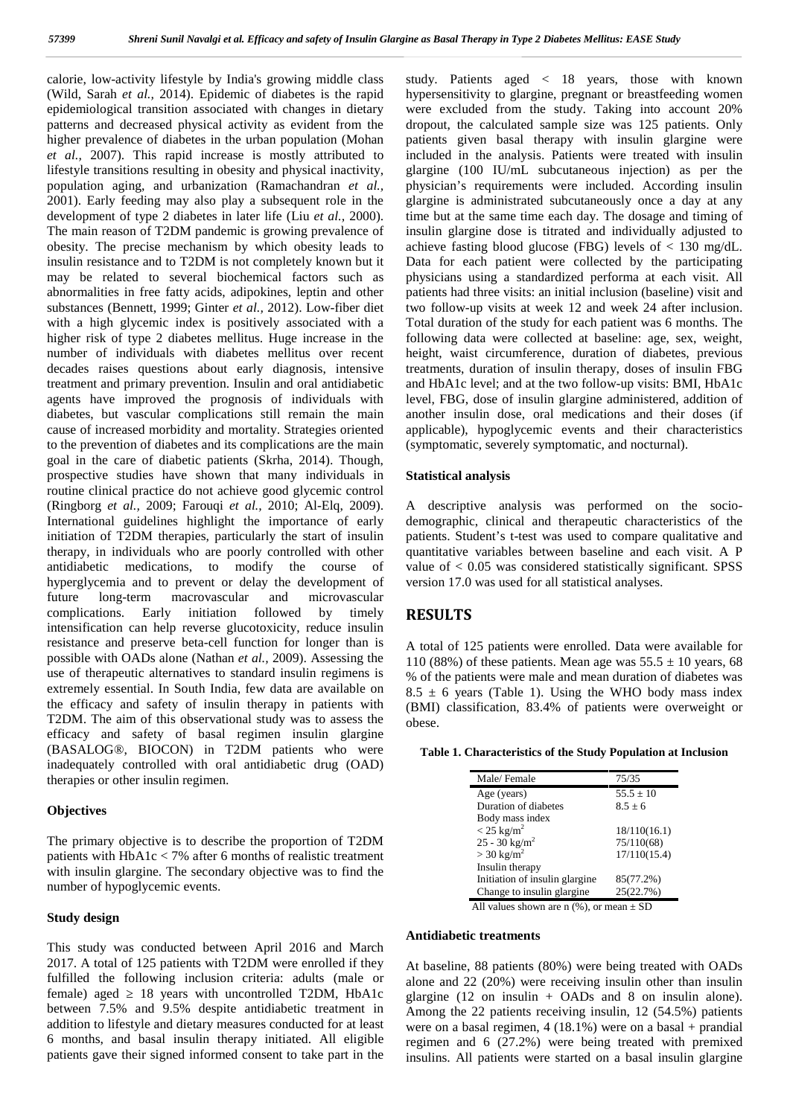calorie, low-activity lifestyle by India's growing middle class (Wild, Sarah *et al.,* 2014). Epidemic of diabetes is the rapid epidemiological transition associated with changes in dietary patterns and decreased physical activity as evident from the higher prevalence of diabetes in the urban population (Mohan *et al.,* 2007). This rapid increase is mostly attributed to lifestyle transitions resulting in obesity and physical inactivity, population aging, and urbanization (Ramachandran *et al.,* 2001). Early feeding may also play a subsequent role in the development of type 2 diabetes in later life (Liu *et al.,* 2000). The main reason of T2DM pandemic is growing prevalence of obesity. The precise mechanism by which obesity leads to insulin resistance and to T2DM is not completely known but it may be related to several biochemical factors such as abnormalities in free fatty acids, adipokines, leptin and other substances (Bennett, 1999; Ginter *et al.,* 2012). Low-fiber diet with a high glycemic index is positively associated with a higher risk of type 2 diabetes mellitus. Huge increase in the number of individuals with diabetes mellitus over recent decades raises questions about early diagnosis, intensive treatment and primary prevention. Insulin and oral antidiabetic agents have improved the prognosis of individuals with diabetes, but vascular complications still remain the main cause of increased morbidity and mortality. Strategies oriented to the prevention of diabetes and its complications are the main goal in the care of diabetic patients (Skrha, 2014). Though, prospective studies have shown that many individuals in routine clinical practice do not achieve good glycemic control (Ringborg *et al.,* 2009; Farouqi *et al.,* 2010; Al-Elq, 2009). International guidelines highlight the importance of early initiation of T2DM therapies, particularly the start of insulin therapy, in individuals who are poorly controlled with other antidiabetic medications, to modify the course of hyperglycemia and to prevent or delay the development of future long-term macrovascular and microvascular complications. Early initiation followed by timely intensification can help reverse glucotoxicity, reduce insulin resistance and preserve beta-cell function for longer than is possible with OADs alone (Nathan *et al.,* 2009). Assessing the use of therapeutic alternatives to standard insulin regimens is extremely essential. In South India, few data are available on the efficacy and safety of insulin therapy in patients with T2DM. The aim of this observational study was to assess the efficacy and safety of basal regimen insulin glargine (BASALOG®, BIOCON) in T2DM patients who were inadequately controlled with oral antidiabetic drug (OAD) therapies or other insulin regimen.

### **Objectives**

The primary objective is to describe the proportion of T2DM patients with HbA1c < 7% after 6 months of realistic treatment with insulin glargine. The secondary objective was to find the number of hypoglycemic events.

### **Study design**

This study was conducted between April 2016 and March 2017. A total of 125 patients with T2DM were enrolled if they fulfilled the following inclusion criteria: adults (male or female) aged 18 years with uncontrolled T2DM, HbA1c between 7.5% and 9.5% despite antidiabetic treatment in addition to lifestyle and dietary measures conducted for at least 6 months, and basal insulin therapy initiated. All eligible patients gave their signed informed consent to take part in the

study. Patients aged < 18 years, those with known hypersensitivity to glargine, pregnant or breastfeeding women were excluded from the study. Taking into account 20% dropout, the calculated sample size was 125 patients. Only patients given basal therapy with insulin glargine were included in the analysis. Patients were treated with insulin glargine (100 IU/mL subcutaneous injection) as per the physician's requirements were included. According insulin glargine is administrated subcutaneously once a day at any time but at the same time each day. The dosage and timing of insulin glargine dose is titrated and individually adjusted to achieve fasting blood glucose (FBG) levels of < 130 mg/dL. Data for each patient were collected by the participating physicians using a standardized performa at each visit. All patients had three visits: an initial inclusion (baseline) visit and two follow-up visits at week 12 and week 24 after inclusion. Total duration of the study for each patient was 6 months. The following data were collected at baseline: age, sex, weight, height, waist circumference, duration of diabetes, previous treatments, duration of insulin therapy, doses of insulin FBG and HbA1c level; and at the two follow-up visits: BMI, HbA1c level, FBG, dose of insulin glargine administered, addition of another insulin dose, oral medications and their doses (if applicable), hypoglycemic events and their characteristics (symptomatic, severely symptomatic, and nocturnal).

### **Statistical analysis**

A descriptive analysis was performed on the socio demographic, clinical and therapeutic characteristics of the patients. Student's t-test was used to compare qualitative and quantitative variables between baseline and each visit. A P value of < 0.05 was considered statistically significant. SPSS version 17.0 was used for all statistical analyses.

## **RESULTS**

A total of 125 patients were enrolled. Data were available for 110 (88%) of these patients. Mean age was  $55.5 \pm 10$  years, 68 % of the patients were male and mean duration of diabetes was  $8.5 \pm 6$  years (Table 1). Using the WHO body mass index (BMI) classification, 83.4% of patients were overweight or obese.

**Table 1. Characteristics of the Study Population at Inclusion**

| Male/Female                    | 75/35        |
|--------------------------------|--------------|
| Age (years)                    | $55.5 + 10$  |
| Duration of diabetes           | $8.5 + 6$    |
| Body mass index                |              |
| $<$ 25 kg/m <sup>2</sup>       | 18/110(16.1) |
| $25 - 30$ kg/m <sup>2</sup>    | 75/110(68)   |
| $>$ 30 kg/m <sup>2</sup>       | 17/110(15.4) |
| Insulin therapy                |              |
| Initiation of insulin glargine | 85(77.2%)    |
| Change to insulin glargine.    | 25(22.7%)    |
|                                |              |

All values shown are n  $(\%)$ , or mean  $\pm$  SD

#### **Antidiabetic treatments**

At baseline, 88 patients (80%) were being treated with OADs alone and 22 (20%) were receiving insulin other than insulin glargine (12 on insulin + OADs and 8 on insulin alone). Among the 22 patients receiving insulin, 12 (54.5%) patients were on a basal regimen, 4 (18.1%) were on a basal + prandial regimen and 6 (27.2%) were being treated with premixed insulins. All patients were started on a basal insulin glargine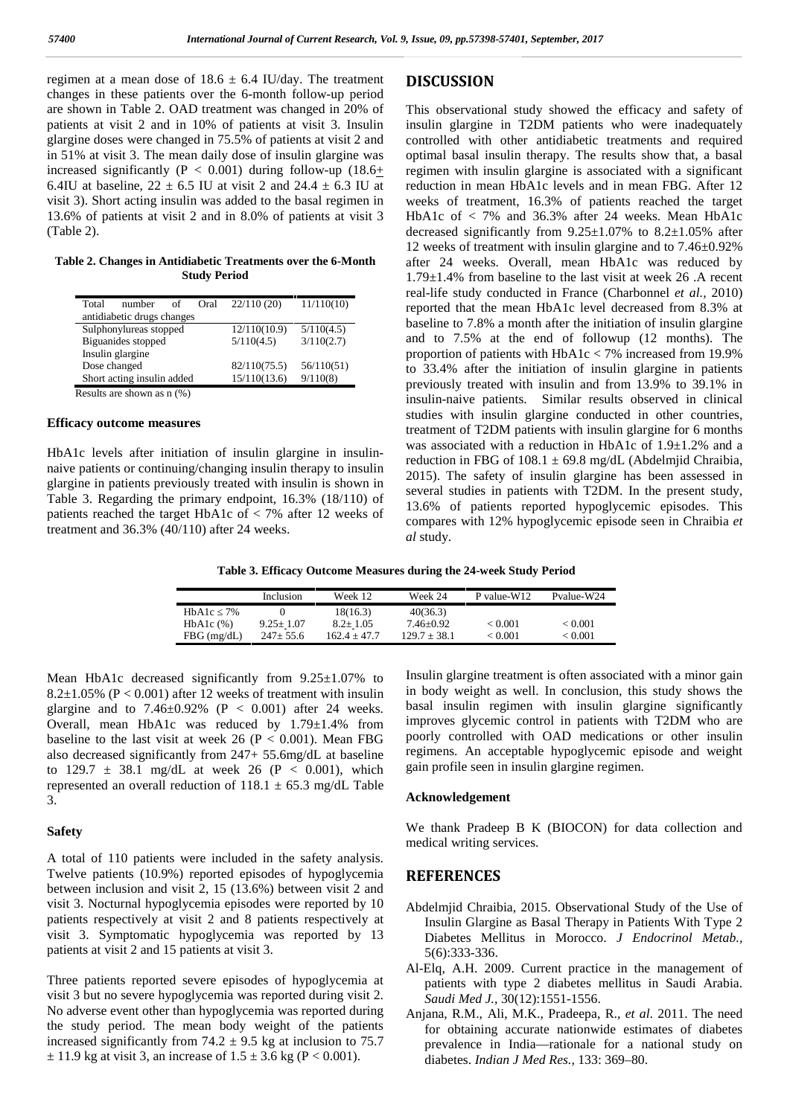regimen at a mean dose of  $18.6 \pm 6.4$  IU/day. The treatment changes in these patients over the 6-month follow-up period are shown in Table 2. OAD treatment was changed in 20% of patients at visit 2 and in 10% of patients at visit 3. Insulin glargine doses were changed in 75.5% of patients at visit 2 and in 51% at visit 3. The mean daily dose of insulin glargine was increased significantly ( $P < 0.001$ ) during follow-up (18.6+ 6.4IU at baseline,  $22 \pm 6.5$  IU at visit 2 and  $24.4 \pm 6.3$  IU at visit 3). Short acting insulin was added to the basal regimen in 13.6% of patients at visit 2 and in 8.0% of patients at visit 3 (Table 2).

**Table 2. Changes in Antidiabetic Treatments over the 6-Month Study Period**

| Total<br>number<br>of         | Oral         | 22/110(20) | 11/110(10) |
|-------------------------------|--------------|------------|------------|
| antidiabetic drugs changes    |              |            |            |
| Sulphonylureas stopped        | 12/110(10.9) | 5/110(4.5) |            |
| Biguanides stopped            | 5/110(4.5)   | 3/110(2.7) |            |
| Insulin glargine              |              |            |            |
| Dose changed                  | 82/110(75.5) | 56/110(51) |            |
| Short acting insulin added    | 15/110(13.6) | 9/110(8)   |            |
| Double are shown as $n/(0/2)$ |              |            |            |

Results are shown as n (%)

### **Efficacy outcome measures**

HbA1c levels after initiation of insulin glargine in insulin naive patients or continuing/changing insulin therapy to insulin glargine in patients previously treated with insulin is shown in Table 3. Regarding the primary endpoint, 16.3% (18/110) of patients reached the target HbA1c of  $<$  7% after 12 weeks of treatment and 36.3% (40/110) after 24 weeks.

## **DISCUSSION**

This observational study showed the efficacy and safety of insulin glargine in T2DM patients who were inadequately controlled with other antidiabetic treatments and required optimal basal insulin therapy. The results show that, a basal regimen with insulin glargine is associated with a significant reduction in mean HbA1c levels and in mean FBG. After 12 weeks of treatment, 16.3% of patients reached the target HbA1c of < 7% and 36.3% after 24 weeks. Mean HbA1c decreased significantly from 9.25±1.07% to 8.2±1.05% after 12 weeks of treatment with insulin glargine and to 7.46±0.92% after 24 weeks. Overall, mean HbA1c was reduced by 1.79±1.4% from baseline to the last visit at week 26 .A recent real-life study conducted in France (Charbonnel *et al.,* 2010) reported that the mean HbA1c level decreased from 8.3% at baseline to 7.8% a month after the initiation of insulin glargine and to 7.5% at the end of followup (12 months). The proportion of patients with HbA1c < 7% increased from 19.9% to 33.4% after the initiation of insulin glargine in patients previously treated with insulin and from 13.9% to 39.1% in insulin-naive patients. Similar results observed in clinical studies with insulin glargine conducted in other countries, treatment of T2DM patients with insulin glargine for 6 months was associated with a reduction in HbA1c of 1.9±1.2% and a reduction in FBG of  $108.1 \pm 69.8$  mg/dL (Abdelmjid Chraibia, 2015). The safety of insulin glargine has been assessed in several studies in patients with T2DM. In the present study, 13.6% of patients reported hypoglycemic episodes. This compares with 12% hypoglycemic episode seen in Chraibia *et al* study.

**Table 3. Efficacy Outcome Measures during the 24-week Study Period**

|               | <b>Inclusion</b> | Week 12.       | Week 24        | P value-W12 | Pvalue-W24 |
|---------------|------------------|----------------|----------------|-------------|------------|
| 7%<br>HbA1c   |                  | 18(16.3)       | 40(36.3)       |             |            |
| $HbA1c$ $%$ ) | $9.25 \pm 1.07$  | $8.2 \pm 1.05$ | $7.46 + 0.92$  | < 0.001     | < 0.001    |
| $FBG$ (mg/dL) | $247+55.6$       | 1624+477       | $129.7 + 38.1$ | < 0.001     | < 0.001    |

Mean HbA1c decreased significantly from 9.25±1.07% to 8.2 $\pm$ 1.05% (P < 0.001) after 12 weeks of treatment with insulin glargine and to  $7.46\pm0.92\%$  (P < 0.001) after 24 weeks. Overall, mean HbA1c was reduced by 1.79±1.4% from baseline to the last visit at week 26 ( $P < 0.001$ ). Mean FBG also decreased significantly from 247+ 55.6mg/dL at baseline to 129.7  $\pm$  38.1 mg/dL at week 26 (P < 0.001), which represented an overall reduction of  $118.1 \pm 65.3$  mg/dL Table 3.

### **Safety**

A total of 110 patients were included in the safety analysis. Twelve patients (10.9%) reported episodes of hypoglycemia between inclusion and visit 2, 15 (13.6%) between visit 2 and visit 3. Nocturnal hypoglycemia episodes were reported by 10 patients respectively at visit 2 and 8 patients respectively at visit 3. Symptomatic hypoglycemia was reported by 13 patients at visit 2 and 15 patients at visit 3.

Three patients reported severe episodes of hypoglycemia at visit 3 but no severe hypoglycemia was reported during visit 2. No adverse event other than hypoglycemia was reported during the study period. The mean body weight of the patients increased significantly from 74.2  $\pm$  9.5 kg at inclusion to 75.7  $\pm$  11.9 kg at visit 3, an increase of 1.5  $\pm$  3.6 kg (P < 0.001).

Insulin glargine treatment is often associated with a minor gain in body weight as well. In conclusion, this study shows the basal insulin regimen with insulin glargine significantly improves glycemic control in patients with T2DM who are poorly controlled with OAD medications or other insulin regimens. An acceptable hypoglycemic episode and weight gain profile seen in insulin glargine regimen.

### **Acknowledgement**

We thank Pradeep B K (BIOCON) for data collection and medical writing services.

## **REFERENCES**

- Abdelmjid Chraibia, 2015. Observational Study of the Use of Insulin Glargine as Basal Therapy in Patients With Type 2 Diabetes Mellitus in Morocco. *J Endocrinol Metab.,* 5(6):333-336.
- Al-Elq, A.H. 2009. Current practice in the management of patients with type 2 diabetes mellitus in Saudi Arabia. *Saudi Med J.,* 30(12):1551-1556.
- Anjana, R.M., Ali, M.K., Pradeepa, R., *et al*. 2011. The need for obtaining accurate nationwide estimates of diabetes prevalence in India—rationale for a national study on diabetes. *Indian J Med Res.,* 133: 369–80.